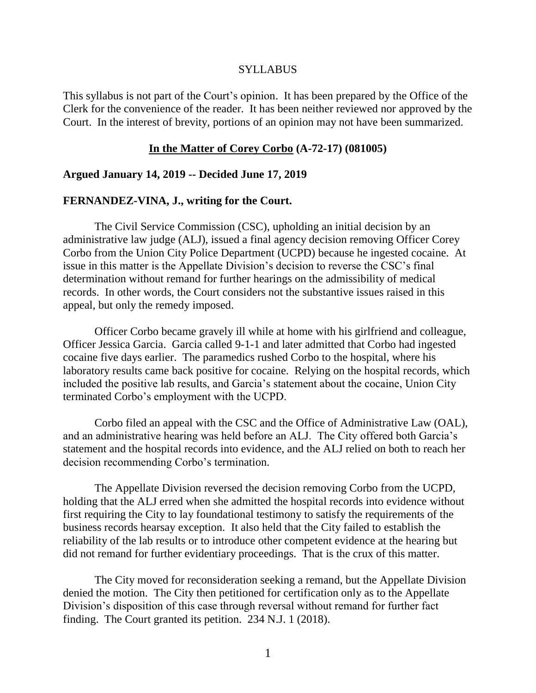### SYLLABUS

This syllabus is not part of the Court's opinion. It has been prepared by the Office of the Clerk for the convenience of the reader. It has been neither reviewed nor approved by the Court. In the interest of brevity, portions of an opinion may not have been summarized.

### **In the Matter of Corey Corbo (A-72-17) (081005)**

## **Argued January 14, 2019 -- Decided June 17, 2019**

#### **FERNANDEZ-VINA, J., writing for the Court.**

The Civil Service Commission (CSC), upholding an initial decision by an administrative law judge (ALJ), issued a final agency decision removing Officer Corey Corbo from the Union City Police Department (UCPD) because he ingested cocaine. At issue in this matter is the Appellate Division's decision to reverse the CSC's final determination without remand for further hearings on the admissibility of medical records. In other words, the Court considers not the substantive issues raised in this appeal, but only the remedy imposed.

Officer Corbo became gravely ill while at home with his girlfriend and colleague, Officer Jessica Garcia. Garcia called 9-1-1 and later admitted that Corbo had ingested cocaine five days earlier. The paramedics rushed Corbo to the hospital, where his laboratory results came back positive for cocaine. Relying on the hospital records, which included the positive lab results, and Garcia's statement about the cocaine, Union City terminated Corbo's employment with the UCPD.

Corbo filed an appeal with the CSC and the Office of Administrative Law (OAL), and an administrative hearing was held before an ALJ. The City offered both Garcia's statement and the hospital records into evidence, and the ALJ relied on both to reach her decision recommending Corbo's termination.

The Appellate Division reversed the decision removing Corbo from the UCPD, holding that the ALJ erred when she admitted the hospital records into evidence without first requiring the City to lay foundational testimony to satisfy the requirements of the business records hearsay exception. It also held that the City failed to establish the reliability of the lab results or to introduce other competent evidence at the hearing but did not remand for further evidentiary proceedings. That is the crux of this matter.

The City moved for reconsideration seeking a remand, but the Appellate Division denied the motion. The City then petitioned for certification only as to the Appellate Division's disposition of this case through reversal without remand for further fact finding. The Court granted its petition. 234 N.J. 1 (2018).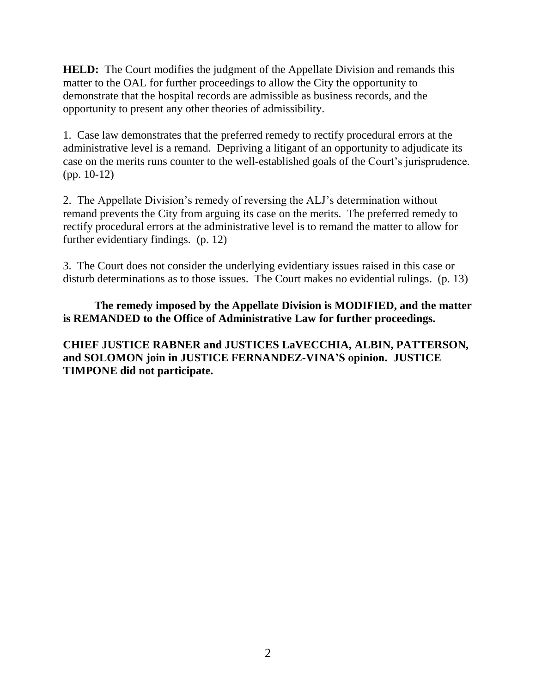**HELD:** The Court modifies the judgment of the Appellate Division and remands this matter to the OAL for further proceedings to allow the City the opportunity to demonstrate that the hospital records are admissible as business records, and the opportunity to present any other theories of admissibility.

1. Case law demonstrates that the preferred remedy to rectify procedural errors at the administrative level is a remand. Depriving a litigant of an opportunity to adjudicate its case on the merits runs counter to the well-established goals of the Court's jurisprudence. (pp. 10-12)

2. The Appellate Division's remedy of reversing the ALJ's determination without remand prevents the City from arguing its case on the merits. The preferred remedy to rectify procedural errors at the administrative level is to remand the matter to allow for further evidentiary findings. (p. 12)

3. The Court does not consider the underlying evidentiary issues raised in this case or disturb determinations as to those issues. The Court makes no evidential rulings. (p. 13)

**The remedy imposed by the Appellate Division is MODIFIED, and the matter is REMANDED to the Office of Administrative Law for further proceedings.**

**CHIEF JUSTICE RABNER and JUSTICES LaVECCHIA, ALBIN, PATTERSON, and SOLOMON join in JUSTICE FERNANDEZ-VINA'S opinion. JUSTICE TIMPONE did not participate.**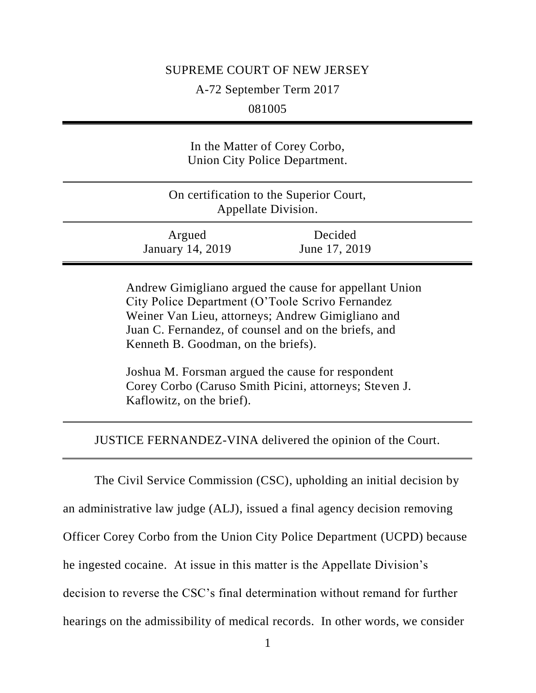## SUPREME COURT OF NEW JERSEY

A-72 September Term 2017

081005

| In the Matter of Corey Corbo,<br>Union City Police Department. |                          |  |
|----------------------------------------------------------------|--------------------------|--|
| On certification to the Superior Court,<br>Appellate Division. |                          |  |
| Argued<br>January 14, 2019                                     | Decided<br>June 17, 2019 |  |

Andrew Gimigliano argued the cause for appellant Union City Police Department (O'Toole Scrivo Fernandez Weiner Van Lieu, attorneys; Andrew Gimigliano and Juan C. Fernandez, of counsel and on the briefs, and Kenneth B. Goodman, on the briefs).

Joshua M. Forsman argued the cause for respondent Corey Corbo (Caruso Smith Picini, attorneys; Steven J. Kaflowitz, on the brief).

JUSTICE FERNANDEZ-VINA delivered the opinion of the Court.

The Civil Service Commission (CSC), upholding an initial decision by an administrative law judge (ALJ), issued a final agency decision removing Officer Corey Corbo from the Union City Police Department (UCPD) because he ingested cocaine. At issue in this matter is the Appellate Division's decision to reverse the CSC's final determination without remand for further hearings on the admissibility of medical records. In other words, we consider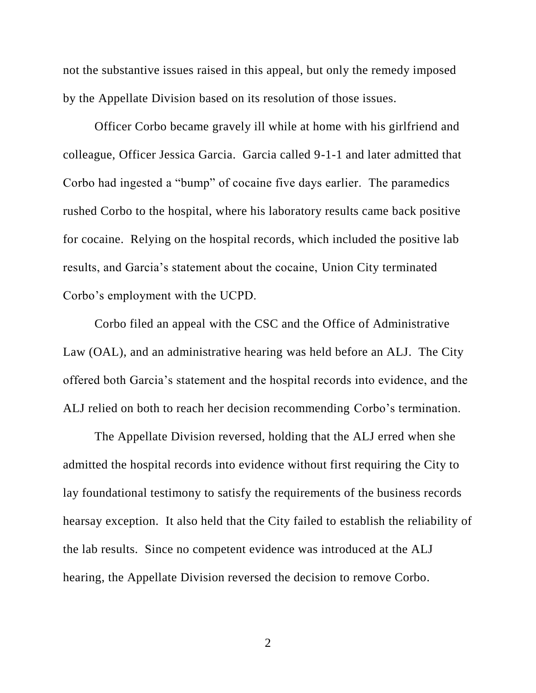not the substantive issues raised in this appeal, but only the remedy imposed by the Appellate Division based on its resolution of those issues.

Officer Corbo became gravely ill while at home with his girlfriend and colleague, Officer Jessica Garcia. Garcia called 9-1-1 and later admitted that Corbo had ingested a "bump" of cocaine five days earlier. The paramedics rushed Corbo to the hospital, where his laboratory results came back positive for cocaine. Relying on the hospital records, which included the positive lab results, and Garcia's statement about the cocaine, Union City terminated Corbo's employment with the UCPD.

Corbo filed an appeal with the CSC and the Office of Administrative Law (OAL), and an administrative hearing was held before an ALJ. The City offered both Garcia's statement and the hospital records into evidence, and the ALJ relied on both to reach her decision recommending Corbo's termination.

The Appellate Division reversed, holding that the ALJ erred when she admitted the hospital records into evidence without first requiring the City to lay foundational testimony to satisfy the requirements of the business records hearsay exception. It also held that the City failed to establish the reliability of the lab results. Since no competent evidence was introduced at the ALJ hearing, the Appellate Division reversed the decision to remove Corbo.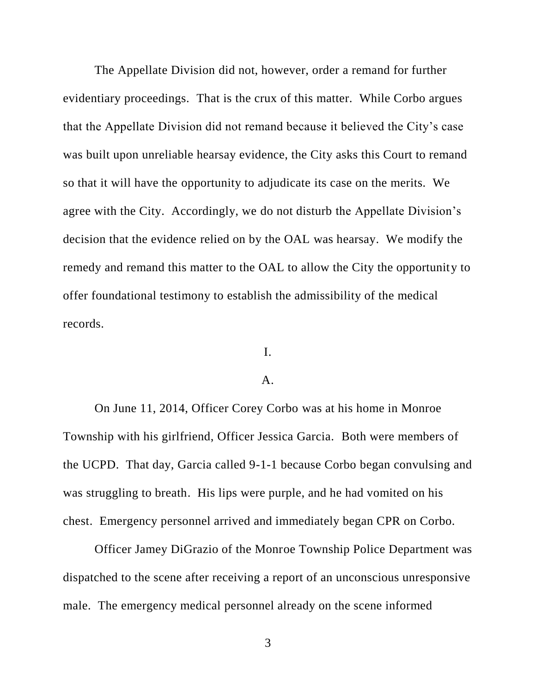The Appellate Division did not, however, order a remand for further evidentiary proceedings. That is the crux of this matter. While Corbo argues that the Appellate Division did not remand because it believed the City's case was built upon unreliable hearsay evidence, the City asks this Court to remand so that it will have the opportunity to adjudicate its case on the merits. We agree with the City. Accordingly, we do not disturb the Appellate Division's decision that the evidence relied on by the OAL was hearsay. We modify the remedy and remand this matter to the OAL to allow the City the opportunity to offer foundational testimony to establish the admissibility of the medical records.

# I.

### A.

On June 11, 2014, Officer Corey Corbo was at his home in Monroe Township with his girlfriend, Officer Jessica Garcia. Both were members of the UCPD. That day, Garcia called 9-1-1 because Corbo began convulsing and was struggling to breath. His lips were purple, and he had vomited on his chest. Emergency personnel arrived and immediately began CPR on Corbo.

Officer Jamey DiGrazio of the Monroe Township Police Department was dispatched to the scene after receiving a report of an unconscious unresponsive male. The emergency medical personnel already on the scene informed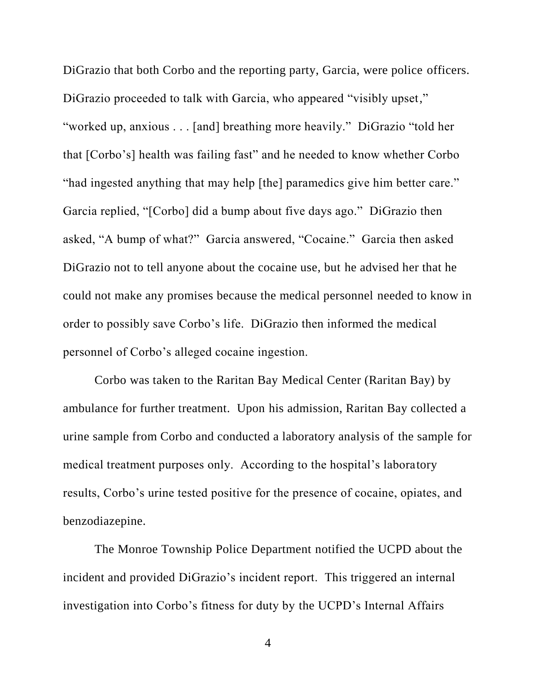DiGrazio that both Corbo and the reporting party, Garcia, were police officers. DiGrazio proceeded to talk with Garcia, who appeared "visibly upset," "worked up, anxious . . . [and] breathing more heavily." DiGrazio "told her that [Corbo's] health was failing fast" and he needed to know whether Corbo "had ingested anything that may help [the] paramedics give him better care." Garcia replied, "[Corbo] did a bump about five days ago." DiGrazio then asked, "A bump of what?" Garcia answered, "Cocaine." Garcia then asked DiGrazio not to tell anyone about the cocaine use, but he advised her that he could not make any promises because the medical personnel needed to know in order to possibly save Corbo's life. DiGrazio then informed the medical personnel of Corbo's alleged cocaine ingestion.

Corbo was taken to the Raritan Bay Medical Center (Raritan Bay) by ambulance for further treatment. Upon his admission, Raritan Bay collected a urine sample from Corbo and conducted a laboratory analysis of the sample for medical treatment purposes only. According to the hospital's laboratory results, Corbo's urine tested positive for the presence of cocaine, opiates, and benzodiazepine.

The Monroe Township Police Department notified the UCPD about the incident and provided DiGrazio's incident report. This triggered an internal investigation into Corbo's fitness for duty by the UCPD's Internal Affairs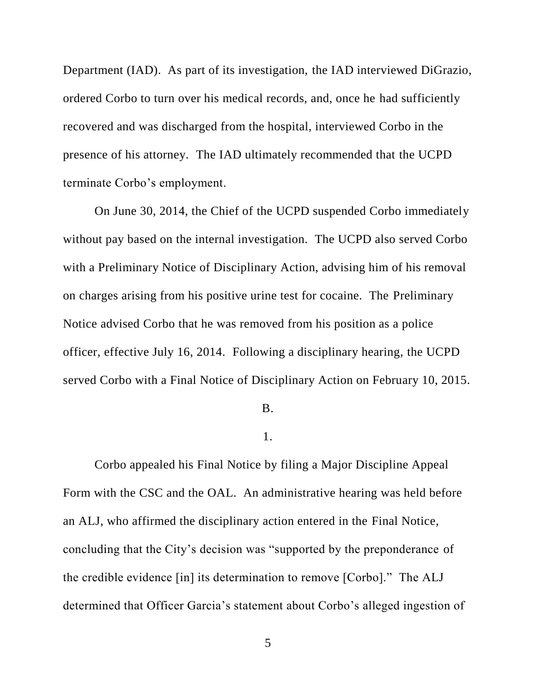Department (IAD). As part of its investigation, the IAD interviewed DiGrazio, ordered Corbo to turn over his medical records, and, once he had sufficiently recovered and was discharged from the hospital, interviewed Corbo in the presence of his attorney. The IAD ultimately recommended that the UCPD terminate Corbo's employment.

On June 30, 2014, the Chief of the UCPD suspended Corbo immediately without pay based on the internal investigation. The UCPD also served Corbo with a Preliminary Notice of Disciplinary Action, advising him of his removal on charges arising from his positive urine test for cocaine. The Preliminary Notice advised Corbo that he was removed from his position as a police officer, effective July 16, 2014. Following a disciplinary hearing, the UCPD served Corbo with a Final Notice of Disciplinary Action on February 10, 2015.

### B.

# 1.

Corbo appealed his Final Notice by filing a Major Discipline Appeal Form with the CSC and the OAL. An administrative hearing was held before an ALJ, who affirmed the disciplinary action entered in the Final Notice, concluding that the City's decision was "supported by the preponderance of the credible evidence [in] its determination to remove [Corbo]." The ALJ determined that Officer Garcia's statement about Corbo's alleged ingestion of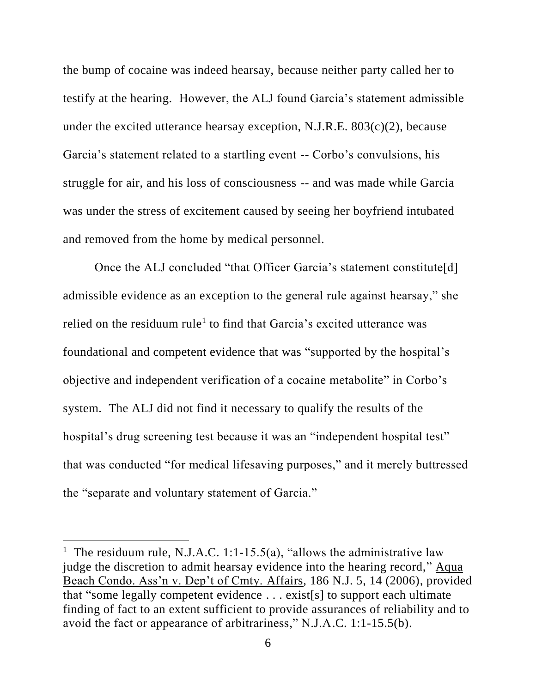the bump of cocaine was indeed hearsay, because neither party called her to testify at the hearing. However, the ALJ found Garcia's statement admissible under the excited utterance hearsay exception, N.J.R.E.  $803(c)(2)$ , because Garcia's statement related to a startling event -- Corbo's convulsions, his struggle for air, and his loss of consciousness -- and was made while Garcia was under the stress of excitement caused by seeing her boyfriend intubated and removed from the home by medical personnel.

Once the ALJ concluded "that Officer Garcia's statement constitute[d] admissible evidence as an exception to the general rule against hearsay," she relied on the residuum rule<sup>1</sup> to find that Garcia's excited utterance was foundational and competent evidence that was "supported by the hospital's objective and independent verification of a cocaine metabolite" in Corbo's system. The ALJ did not find it necessary to qualify the results of the hospital's drug screening test because it was an "independent hospital test" that was conducted "for medical lifesaving purposes," and it merely buttressed the "separate and voluntary statement of Garcia."

 $\overline{a}$ 

<sup>&</sup>lt;sup>1</sup> The residuum rule, N.J.A.C. 1:1-15.5(a), "allows the administrative law judge the discretion to admit hearsay evidence into the hearing record," Aqua Beach Condo. Ass'n v. Dep't of Cmty. Affairs, 186 N.J. 5, 14 (2006), provided that "some legally competent evidence . . . exist[s] to support each ultimate finding of fact to an extent sufficient to provide assurances of reliability and to avoid the fact or appearance of arbitrariness," N.J.A.C. 1:1-15.5(b).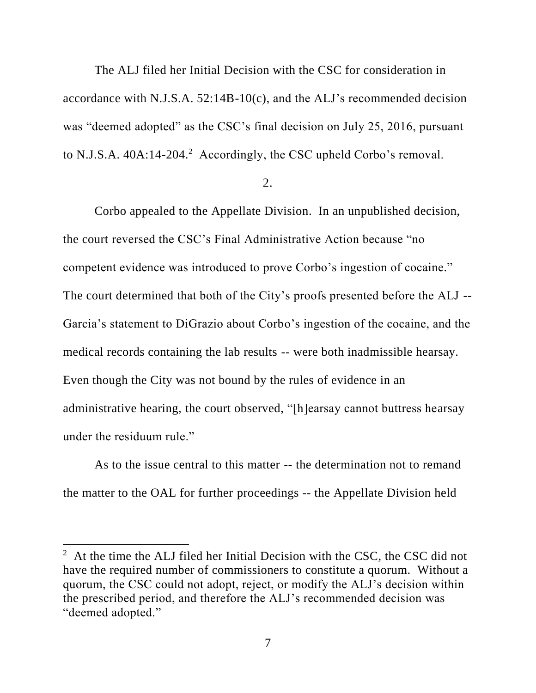The ALJ filed her Initial Decision with the CSC for consideration in accordance with N.J.S.A. 52:14B-10(c), and the ALJ's recommended decision was "deemed adopted" as the CSC's final decision on July 25, 2016, pursuant to N.J.S.A.  $40A:14-204.<sup>2</sup>$  Accordingly, the CSC upheld Corbo's removal.

### 2.

Corbo appealed to the Appellate Division. In an unpublished decision, the court reversed the CSC's Final Administrative Action because "no competent evidence was introduced to prove Corbo's ingestion of cocaine." The court determined that both of the City's proofs presented before the ALJ -- Garcia's statement to DiGrazio about Corbo's ingestion of the cocaine, and the medical records containing the lab results -- were both inadmissible hearsay. Even though the City was not bound by the rules of evidence in an administrative hearing, the court observed, "[h]earsay cannot buttress hearsay under the residuum rule."

As to the issue central to this matter -- the determination not to remand the matter to the OAL for further proceedings -- the Appellate Division held

l

 $2$  At the time the ALJ filed her Initial Decision with the CSC, the CSC did not have the required number of commissioners to constitute a quorum. Without a quorum, the CSC could not adopt, reject, or modify the ALJ's decision within the prescribed period, and therefore the ALJ's recommended decision was "deemed adopted."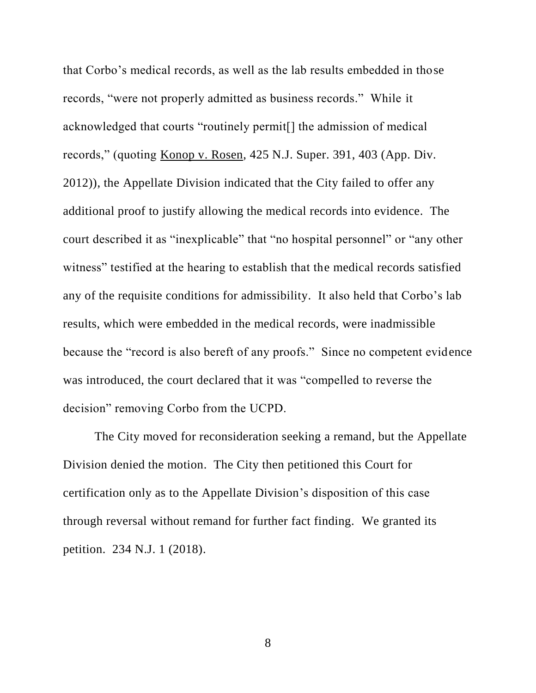that Corbo's medical records, as well as the lab results embedded in those records, "were not properly admitted as business records." While it acknowledged that courts "routinely permit[] the admission of medical records," (quoting Konop v. Rosen, 425 N.J. Super. 391, 403 (App. Div. 2012)), the Appellate Division indicated that the City failed to offer any additional proof to justify allowing the medical records into evidence. The court described it as "inexplicable" that "no hospital personnel" or "any other witness" testified at the hearing to establish that the medical records satisfied any of the requisite conditions for admissibility. It also held that Corbo's lab results, which were embedded in the medical records, were inadmissible because the "record is also bereft of any proofs." Since no competent evidence was introduced, the court declared that it was "compelled to reverse the decision" removing Corbo from the UCPD.

The City moved for reconsideration seeking a remand, but the Appellate Division denied the motion. The City then petitioned this Court for certification only as to the Appellate Division's disposition of this case through reversal without remand for further fact finding. We granted its petition. 234 N.J. 1 (2018).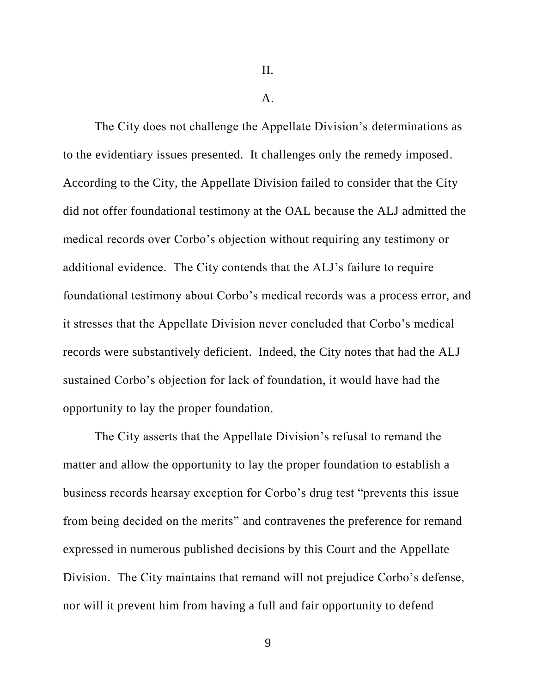A.

The City does not challenge the Appellate Division's determinations as to the evidentiary issues presented. It challenges only the remedy imposed. According to the City, the Appellate Division failed to consider that the City did not offer foundational testimony at the OAL because the ALJ admitted the medical records over Corbo's objection without requiring any testimony or additional evidence. The City contends that the ALJ's failure to require foundational testimony about Corbo's medical records was a process error, and it stresses that the Appellate Division never concluded that Corbo's medical records were substantively deficient. Indeed, the City notes that had the ALJ sustained Corbo's objection for lack of foundation, it would have had the opportunity to lay the proper foundation.

The City asserts that the Appellate Division's refusal to remand the matter and allow the opportunity to lay the proper foundation to establish a business records hearsay exception for Corbo's drug test "prevents this issue from being decided on the merits" and contravenes the preference for remand expressed in numerous published decisions by this Court and the Appellate Division. The City maintains that remand will not prejudice Corbo's defense, nor will it prevent him from having a full and fair opportunity to defend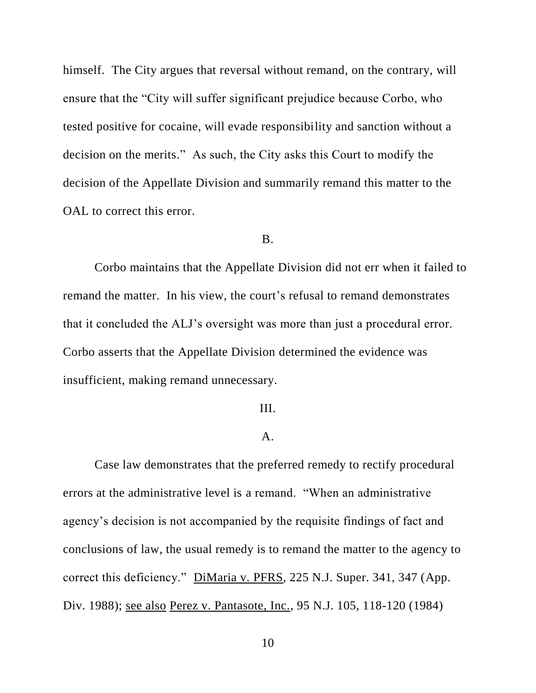himself. The City argues that reversal without remand, on the contrary, will ensure that the "City will suffer significant prejudice because Corbo, who tested positive for cocaine, will evade responsibility and sanction without a decision on the merits." As such, the City asks this Court to modify the decision of the Appellate Division and summarily remand this matter to the OAL to correct this error.

# B.

Corbo maintains that the Appellate Division did not err when it failed to remand the matter. In his view, the court's refusal to remand demonstrates that it concluded the ALJ's oversight was more than just a procedural error. Corbo asserts that the Appellate Division determined the evidence was insufficient, making remand unnecessary.

## III.

## A.

Case law demonstrates that the preferred remedy to rectify procedural errors at the administrative level is a remand. "When an administrative agency's decision is not accompanied by the requisite findings of fact and conclusions of law, the usual remedy is to remand the matter to the agency to correct this deficiency." DiMaria v. PFRS, 225 N.J. Super. 341, 347 (App. Div. 1988); see also Perez v. Pantasote, Inc., 95 N.J. 105, 118-120 (1984)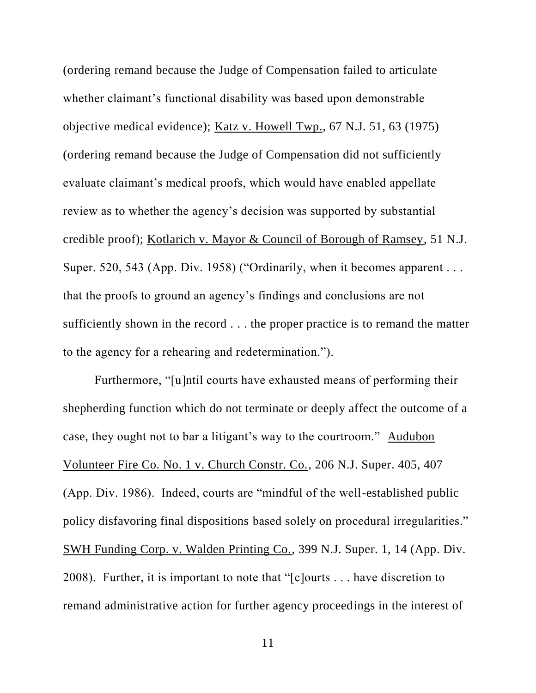(ordering remand because the Judge of Compensation failed to articulate whether claimant's functional disability was based upon demonstrable objective medical evidence); Katz v. Howell Twp., 67 N.J. 51, 63 (1975) (ordering remand because the Judge of Compensation did not sufficiently evaluate claimant's medical proofs, which would have enabled appellate review as to whether the agency's decision was supported by substantial credible proof); Kotlarich v. Mayor & Council of Borough of Ramsey, 51 N.J. Super. 520, 543 (App. Div. 1958) ("Ordinarily, when it becomes apparent . . . that the proofs to ground an agency's findings and conclusions are not sufficiently shown in the record . . . the proper practice is to remand the matter to the agency for a rehearing and redetermination.").

Furthermore, "[u]ntil courts have exhausted means of performing their shepherding function which do not terminate or deeply affect the outcome of a case, they ought not to bar a litigant's way to the courtroom." Audubon Volunteer Fire Co. No. 1 v. Church Constr. Co., 206 N.J. Super. 405, 407 (App. Div. 1986). Indeed, courts are "mindful of the well-established public policy disfavoring final dispositions based solely on procedural irregularities." SWH Funding Corp. v. Walden Printing Co., 399 N.J. Super. 1, 14 (App. Div. 2008). Further, it is important to note that "[c]ourts . . . have discretion to remand administrative action for further agency proceedings in the interest of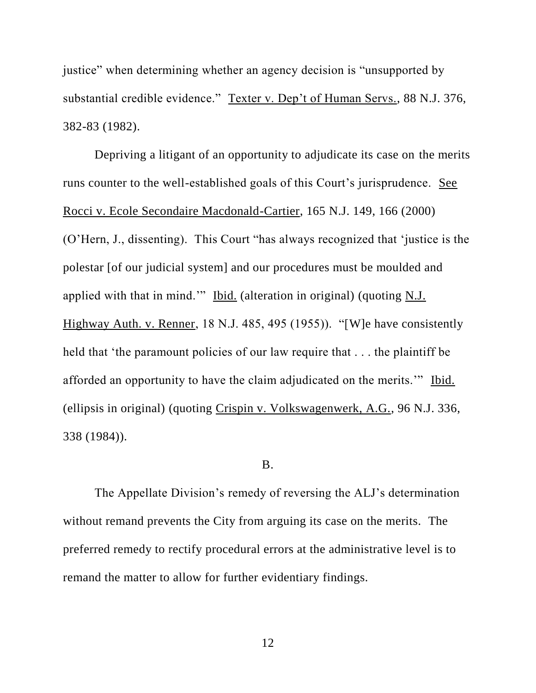justice" when determining whether an agency decision is "unsupported by substantial credible evidence." Texter v. Dep't of Human Servs., 88 N.J. 376, 382-83 (1982).

Depriving a litigant of an opportunity to adjudicate its case on the merits runs counter to the well-established goals of this Court's jurisprudence. See Rocci v. Ecole Secondaire Macdonald-Cartier, 165 N.J. 149, 166 (2000) (O'Hern, J., dissenting). This Court "has always recognized that 'justice is the polestar [of our judicial system] and our procedures must be moulded and applied with that in mind.'" Ibid. (alteration in original) (quoting N.J. Highway Auth. v. Renner, 18 N.J. 485, 495 (1955)). "[W]e have consistently held that 'the paramount policies of our law require that ... the plaintiff be afforded an opportunity to have the claim adjudicated on the merits.'" Ibid. (ellipsis in original) (quoting Crispin v. Volkswagenwerk, A.G., 96 N.J. 336, 338 (1984)).

## B.

The Appellate Division's remedy of reversing the ALJ's determination without remand prevents the City from arguing its case on the merits. The preferred remedy to rectify procedural errors at the administrative level is to remand the matter to allow for further evidentiary findings.